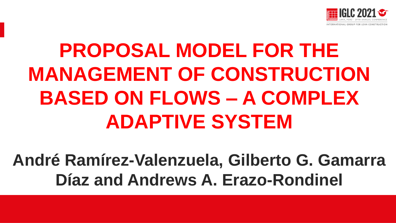

# **PROPOSAL MODEL FOR THE MANAGEMENT OF CONSTRUCTION BASED ON FLOWS – A COMPLEX ADAPTIVE SYSTEM**

## **André Ramírez-Valenzuela, Gilberto G. Gamarra Díaz and Andrews A. Erazo-Rondinel**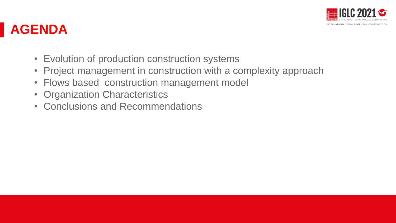

### **AGENDA**

- Evolution of production construction systems
- Project management in construction with a complexity approach
- Flows based construction management model
- Organization Characteristics
- Conclusions and Recommendations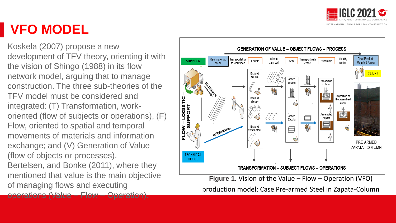

### **VFO MODEL**

Koskela (2007) propose a new development of TFV theory, orienting it with the vision of Shingo (1988) in its flow network model, arguing that to manage construction. The three sub-theories of the TFV model must be considered and integrated: (T) Transformation, workoriented (flow of subjects or operations), (F) Flow, oriented to spatial and temporal movements of materials and information exchange; and (V) Generation of Value (flow of objects or processes).

Bertelsen, and Bonke (2011), where they mentioned that value is the main objective of managing flows and executing

operations (Value – Flow – Operation).



production model: Case Pre-armed Steel in Zapata-Column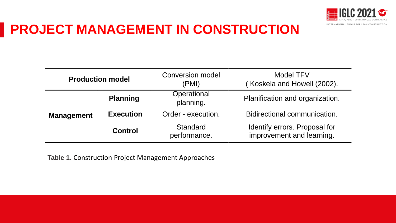

#### **PROJECT MANAGEMENT IN CONSTRUCTION**

| <b>Production model</b> |                  | <b>Conversion model</b><br>(PMI) | Model TFV<br>(Koskela and Howell (2002).                   |
|-------------------------|------------------|----------------------------------|------------------------------------------------------------|
| <b>Management</b>       | <b>Planning</b>  | Operational<br>planning.         | Planification and organization.                            |
|                         | <b>Execution</b> | Order - execution.               | Bidirectional communication.                               |
|                         | <b>Control</b>   | Standard<br>performance.         | Identify errors. Proposal for<br>improvement and learning. |

**Table 1.** Construction Project Management Approaches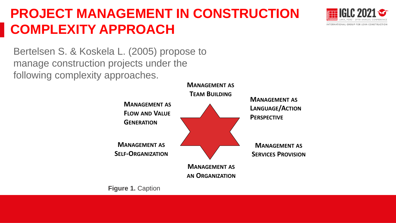### **PROJECT MANAGEMENT IN CONSTRUCTION COMPLEXITY APPROACH**

Bertelsen S. & Koskela L. (2005) propose to manage construction projects under the following complexity approaches.





INTERNATIONAL GROUP FOR LEAN CONSTRUCTION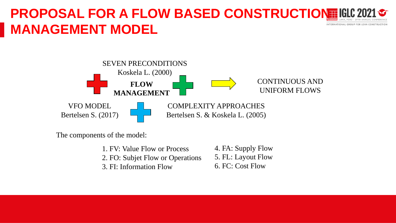#### **PROPOSAL FOR A FLOW BASED CONSTRUCTION GIGLE 20** INTERNATIONAL GROUP FOR LEAN CONSTRUCTION **MANAGEMENT MODEL**



The components of the model:

| 1. FV: Value Flow or Process     | 4. FA: Supply Flow |
|----------------------------------|--------------------|
| 2. FO: Subjet Flow or Operations | 5. FL: Layout Flow |
| 3. FI: Information Flow          | 6. FC: Cost Flow   |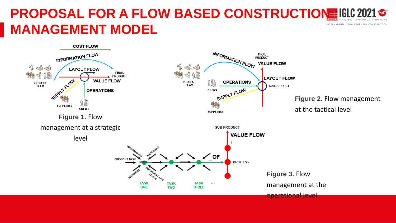#### **PROPOSAL FOR A FLOW BASED CONSTRUCTION FIGLE 2021 &** INTERNATIONAL GROUP FOR LEAN CONSTRUCTION **MANAGEMENT MODEL**

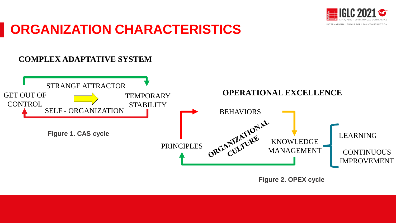

### **ORGANIZATION CHARACTERISTICS**

#### **COMPLEX ADAPTATIVE SYSTEM**

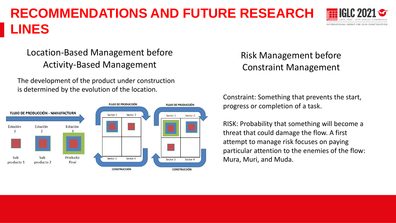### **RECOMMENDATIONS AND FUTURE RESEARCH LINES**

#### Location-Based Management before Activity-Based Management

The development of the product under construction is determined by the evolution of the location.



#### Risk Management before Constraint Management

Constraint: Something that prevents the start, progress or completion of a task.

threat that could damage the flow. A first attempt to manage risk focuses on paying particular attention to the enemies of the flow: Mura, Muri, and Muda.

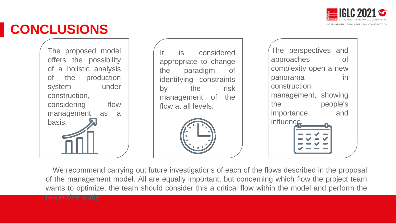

### **CONCLUSIONS**

The proposed model offers the possibility of a holistic analysis of the production system under construction, considering flow management as a basis.

It is considered appropriate to change the paradigm of identifying constraints by the risk management of the flow at all levels.



The perspectives and approaches of complexity open a new panorama in construction management, showing the people's importance and influence.

We recommend carrying out future investigations of each of the flows described in the proposal of the management model. All are equally important, but concerning which flow the project team wants to optimize, the team should consider this a critical flow within the model and perform the